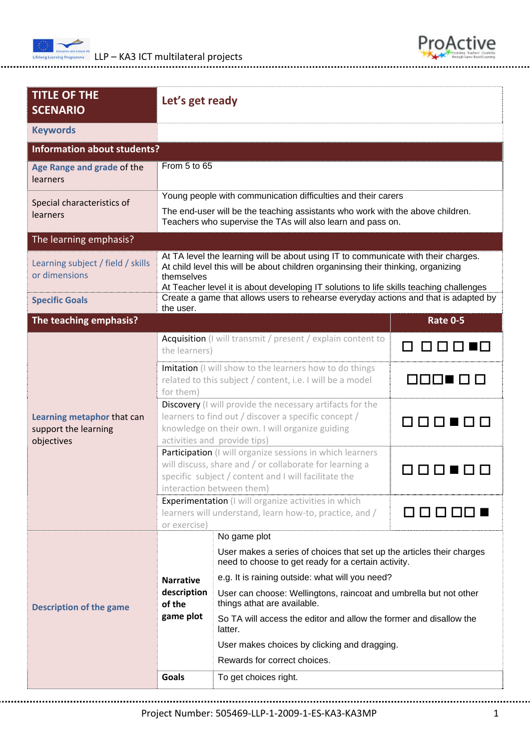



| <b>TITLE OF THE</b><br><b>SCENARIO</b>                                      | Let's get ready                                                                                                                                                                                                                                                                                                                                                         |                                                                                                                              |                 |  |  |  |  |
|-----------------------------------------------------------------------------|-------------------------------------------------------------------------------------------------------------------------------------------------------------------------------------------------------------------------------------------------------------------------------------------------------------------------------------------------------------------------|------------------------------------------------------------------------------------------------------------------------------|-----------------|--|--|--|--|
| <b>Keywords</b>                                                             |                                                                                                                                                                                                                                                                                                                                                                         |                                                                                                                              |                 |  |  |  |  |
| <b>Information about students?</b>                                          |                                                                                                                                                                                                                                                                                                                                                                         |                                                                                                                              |                 |  |  |  |  |
| Age Range and grade of the<br>learners                                      | From 5 to 65                                                                                                                                                                                                                                                                                                                                                            |                                                                                                                              |                 |  |  |  |  |
| Special characteristics of<br>learners                                      | Young people with communication difficulties and their carers<br>The end-user will be the teaching assistants who work with the above children.<br>Teachers who supervise the TAs will also learn and pass on.                                                                                                                                                          |                                                                                                                              |                 |  |  |  |  |
| The learning emphasis?                                                      |                                                                                                                                                                                                                                                                                                                                                                         |                                                                                                                              |                 |  |  |  |  |
| Learning subject / field / skills<br>or dimensions<br><b>Specific Goals</b> | At TA level the learning will be about using IT to communicate with their charges.<br>At child level this will be about children organinsing their thinking, organizing<br>themselves<br>At Teacher level it is about developing IT solutions to life skills teaching challenges<br>Create a game that allows users to rehearse everyday actions and that is adapted by |                                                                                                                              |                 |  |  |  |  |
| The teaching emphasis?                                                      | the user.                                                                                                                                                                                                                                                                                                                                                               |                                                                                                                              | <b>Rate 0-5</b> |  |  |  |  |
| Learning metaphor that can<br>support the learning<br>objectives            | Acquisition (I will transmit / present / explain content to<br>the learners)                                                                                                                                                                                                                                                                                            |                                                                                                                              |                 |  |  |  |  |
|                                                                             | Imitation (I will show to the learners how to do things<br>related to this subject / content, i.e. I will be a model<br>for them)                                                                                                                                                                                                                                       |                                                                                                                              | MOOL U          |  |  |  |  |
|                                                                             | Discovery (I will provide the necessary artifacts for the<br>learners to find out / discover a specific concept /<br>knowledge on their own. I will organize guiding<br>activities and provide tips)                                                                                                                                                                    |                                                                                                                              | .               |  |  |  |  |
|                                                                             | Participation (I will organize sessions in which learners<br>will discuss, share and / or collaborate for learning a<br>specific subject / content and I will facilitate the<br>interaction between them)                                                                                                                                                               |                                                                                                                              |                 |  |  |  |  |
|                                                                             | Experimentation (I will organize activities in which<br>learners will understand, learn how-to, practice, and /<br>or exercise)                                                                                                                                                                                                                                         |                                                                                                                              | $\mathbf{I}$    |  |  |  |  |
|                                                                             |                                                                                                                                                                                                                                                                                                                                                                         | No game plot                                                                                                                 |                 |  |  |  |  |
| <b>Description of the game</b>                                              |                                                                                                                                                                                                                                                                                                                                                                         | User makes a series of choices that set up the articles their charges<br>need to choose to get ready for a certain activity. |                 |  |  |  |  |
|                                                                             | <b>Narrative</b><br>description                                                                                                                                                                                                                                                                                                                                         | e.g. It is raining outside: what will you need?<br>User can choose: Wellingtons, raincoat and umbrella but not other         |                 |  |  |  |  |
|                                                                             | things athat are available.<br>of the<br>game plot<br>So TA will access the editor and allow the former and disallow the<br>latter.                                                                                                                                                                                                                                     |                                                                                                                              |                 |  |  |  |  |
|                                                                             | User makes choices by clicking and dragging.                                                                                                                                                                                                                                                                                                                            |                                                                                                                              |                 |  |  |  |  |
|                                                                             |                                                                                                                                                                                                                                                                                                                                                                         | Rewards for correct choices.                                                                                                 |                 |  |  |  |  |
|                                                                             | <b>Goals</b>                                                                                                                                                                                                                                                                                                                                                            | To get choices right.                                                                                                        |                 |  |  |  |  |